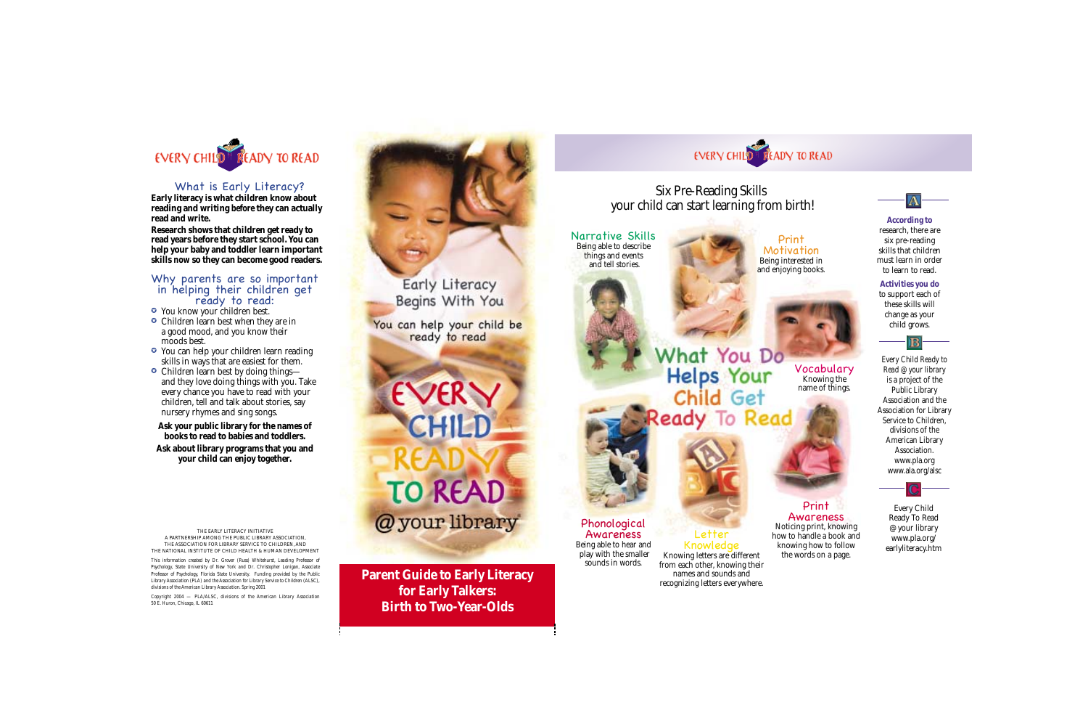

### What is Early Literacy?

**Early literacy is what children know about reading and writing** *before* **they can actually read and write.**

**Research shows that children get ready to read years before they start school. You can help your baby and toddler learn important skills** *now* **so they can become good readers.**

### Why parents are so important in helping their children get ready to read:

- You know your children best.
- Children learn best when they are in a good mood, and you know their moods best.
- You can help your children learn reading skills in ways that are easiest for them.
- Children learn best by doing things and they love doing things with you. Take every chance you have to read with your children, tell and talk about stories, say nursery rhymes and sing songs.

**Ask your public library for the names of books to read to babies and toddlers.**

**Ask about library programs that you and your child can enjoy together.**

THE EARLY LITERACY INITIATIVE A PARTNERSHIP AMONG THE PUBLIC LIBRARY ASSOCIATION, THE ASSOCIATION FOR LIBRARY SERVICE TO CHILDREN, AND THE NATIONAL INSTITUTE OF CHILD HEALTH & HUMAN DEVELOPMENT

*This information created by Dr. Grover (Russ) Whitehurst, Leading Professor of Psychology, State University of New York and Dr. Christopher Lonigan, Associate Professor of Psychology, Florida State University. Funding provided by the Public Library Association (PLA) and the Association for Library Service to Children (ALSC), divisions of the American Library Association. Spring 2001*

*Copyright 2004 — PLA/ALSC, divisions of the American Library Association 50 E. Huron, Chicago, IL 60611*



**Parent Guide to Early Literacy for Early Talkers: Birth to Two-Year-Olds** 



Print **Motivation** Being interested in and enjoying books.

### Six Pre-Reading Skills your child can start learning from birth!

Narrative Skills Being able to describe things and events and tell stories.

### What You Do Vocabulary **Helps Your** Knowing the name of things. Child Get Ready To Read



### Phonological Awareness Being able to hear and play with the smaller sounds in words.

# Letter<br>Knowledae

Knowing letters are different from each other, knowing their names and sounds and recognizing letters everywhere.



### **According to** research, there are six pre-reading skills that children must learn in order to learn to read.





*Every Child Ready to Read @ your library* is a project of the Public Library Association and the Association for Library Service to Children, divisions of the American Library Association. www.pla.org www.ala.org/alsc

### Print Awareness Noticing print, knowing how to handle a book and knowing how to follow the words on a page.

Every Child Ready To Read @ your library www.pla.org/ earlyliteracy.htm